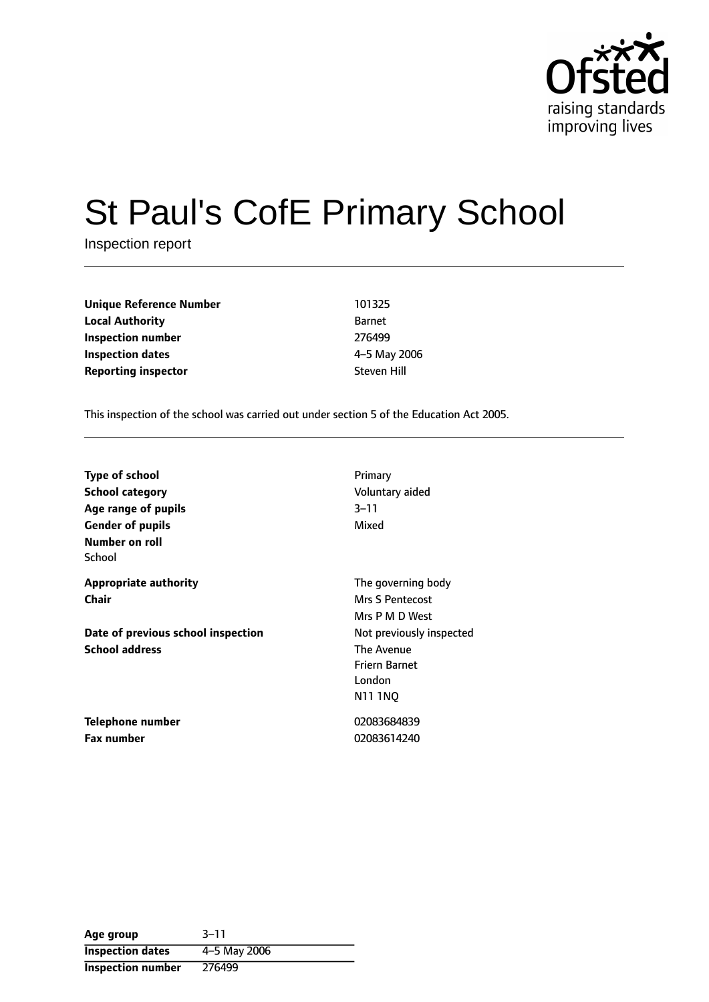

# St Paul's CofE Primary School

Inspection report

**Unique Reference Number** 101325 **Local Authority** Barnet **Inspection number** 276499 **Inspection dates** 4-5 May 2006 **Reporting inspector Steven Hill** 

This inspection of the school was carried out under section 5 of the Education Act 2005.

| <b>Type of school</b>              | Primary                  |
|------------------------------------|--------------------------|
| <b>School category</b>             | Voluntary aided          |
| Age range of pupils                | $3 - 11$                 |
| <b>Gender of pupils</b>            | Mixed                    |
| Number on roll                     |                          |
| School                             |                          |
| <b>Appropriate authority</b>       | The governing body       |
| Chair                              | <b>Mrs S Pentecost</b>   |
|                                    | Mrs P M D West           |
| Date of previous school inspection | Not previously inspected |
| <b>School address</b>              | The Avenue               |
|                                    | <b>Friern Barnet</b>     |
|                                    | London                   |
|                                    | N11 1NQ                  |
| Telephone number                   | 02083684839              |
| Fax number                         | 02083614240              |

| Age group                | $3 - 11$     |
|--------------------------|--------------|
| <b>Inspection dates</b>  | 4-5 May 2006 |
| <b>Inspection number</b> | 276499       |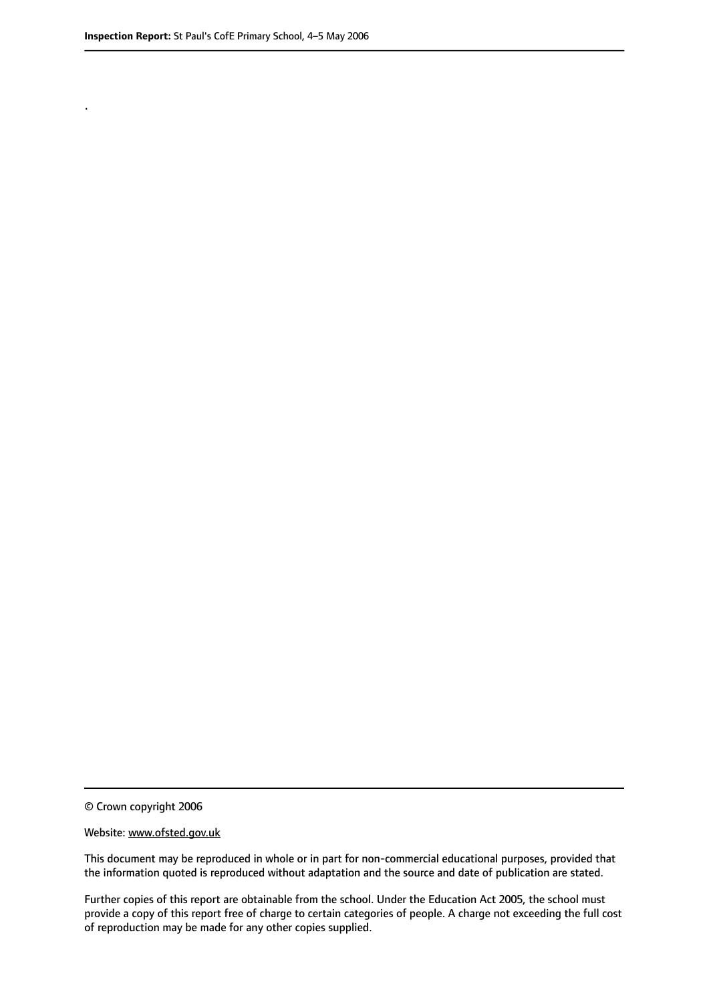.

© Crown copyright 2006

#### Website: www.ofsted.gov.uk

This document may be reproduced in whole or in part for non-commercial educational purposes, provided that the information quoted is reproduced without adaptation and the source and date of publication are stated.

Further copies of this report are obtainable from the school. Under the Education Act 2005, the school must provide a copy of this report free of charge to certain categories of people. A charge not exceeding the full cost of reproduction may be made for any other copies supplied.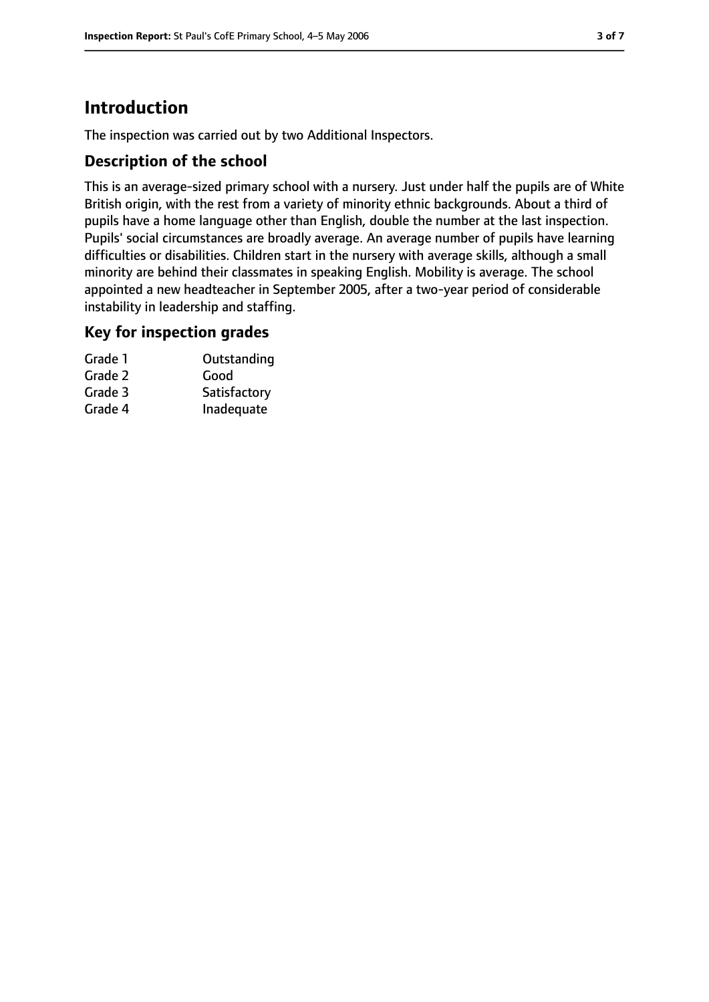# **Introduction**

The inspection was carried out by two Additional Inspectors.

## **Description of the school**

This is an average-sized primary school with a nursery. Just under half the pupils are of White British origin, with the rest from a variety of minority ethnic backgrounds. About a third of pupils have a home language other than English, double the number at the last inspection. Pupils' social circumstances are broadly average. An average number of pupils have learning difficulties or disabilities. Children start in the nursery with average skills, although a small minority are behind their classmates in speaking English. Mobility is average. The school appointed a new headteacher in September 2005, after a two-year period of considerable instability in leadership and staffing.

### **Key for inspection grades**

| Grade 1 | Outstanding  |
|---------|--------------|
| Grade 2 | Good         |
| Grade 3 | Satisfactory |
| Grade 4 | Inadequate   |
|         |              |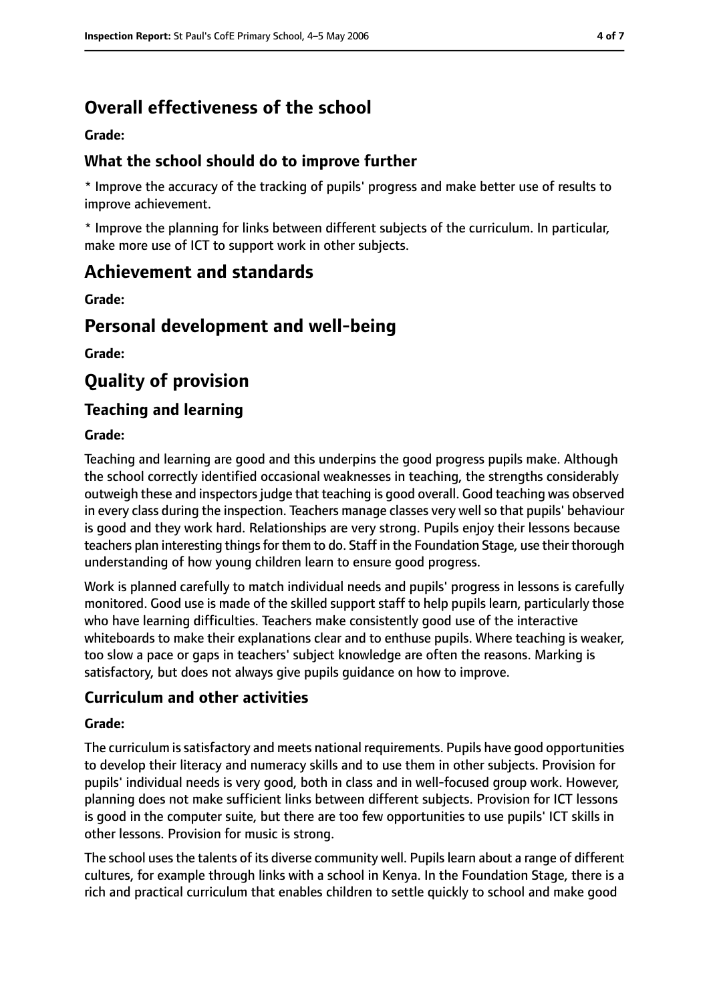# **Overall effectiveness of the school**

#### **Grade:**

## **What the school should do to improve further**

\* Improve the accuracy of the tracking of pupils' progress and make better use of results to improve achievement.

\* Improve the planning for links between different subjects of the curriculum. In particular, make more use of ICT to support work in other subjects.

# **Achievement and standards**

**Grade:**

# **Personal development and well-being**

**Grade:**

# **Quality of provision**

## **Teaching and learning**

#### **Grade:**

Teaching and learning are good and this underpins the good progress pupils make. Although the school correctly identified occasional weaknesses in teaching, the strengths considerably outweigh these and inspectors judge that teaching is good overall. Good teaching was observed in every class during the inspection. Teachers manage classes very well so that pupils' behaviour is good and they work hard. Relationships are very strong. Pupils enjoy their lessons because teachers plan interesting things for them to do. Staff in the Foundation Stage, use their thorough understanding of how young children learn to ensure good progress.

Work is planned carefully to match individual needs and pupils' progress in lessons is carefully monitored. Good use is made of the skilled support staff to help pupils learn, particularly those who have learning difficulties. Teachers make consistently good use of the interactive whiteboards to make their explanations clear and to enthuse pupils. Where teaching is weaker, too slow a pace or gaps in teachers' subject knowledge are often the reasons. Marking is satisfactory, but does not always give pupils guidance on how to improve.

## **Curriculum and other activities**

#### **Grade:**

The curriculum issatisfactory and meets national requirements. Pupils have good opportunities to develop their literacy and numeracy skills and to use them in other subjects. Provision for pupils' individual needs is very good, both in class and in well-focused group work. However, planning does not make sufficient links between different subjects. Provision for ICT lessons is good in the computer suite, but there are too few opportunities to use pupils' ICT skills in other lessons. Provision for music is strong.

The school uses the talents of its diverse community well. Pupils learn about a range of different cultures, for example through links with a school in Kenya. In the Foundation Stage, there is a rich and practical curriculum that enables children to settle quickly to school and make good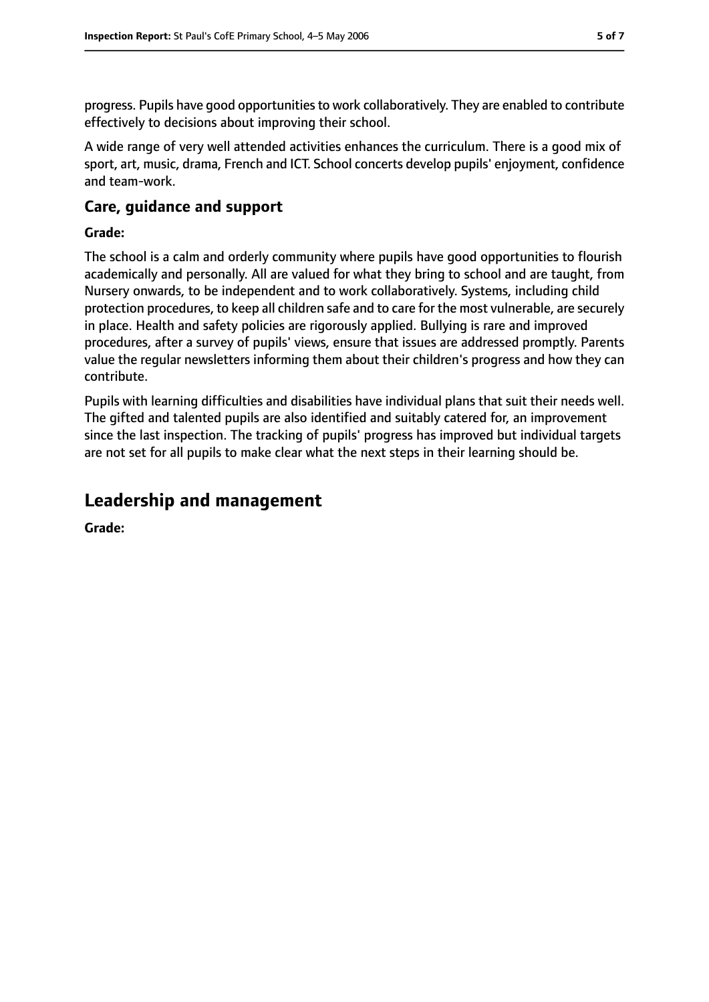progress. Pupils have good opportunities to work collaboratively. They are enabled to contribute effectively to decisions about improving their school.

A wide range of very well attended activities enhances the curriculum. There is a good mix of sport, art, music, drama, French and ICT. School concerts develop pupils' enjoyment, confidence and team-work.

# **Care, guidance and support**

#### **Grade:**

The school is a calm and orderly community where pupils have good opportunities to flourish academically and personally. All are valued for what they bring to school and are taught, from Nursery onwards, to be independent and to work collaboratively. Systems, including child protection procedures, to keep all children safe and to care for the most vulnerable, are securely in place. Health and safety policies are rigorously applied. Bullying is rare and improved procedures, after a survey of pupils' views, ensure that issues are addressed promptly. Parents value the regular newsletters informing them about their children's progress and how they can contribute.

Pupils with learning difficulties and disabilities have individual plans that suit their needs well. The gifted and talented pupils are also identified and suitably catered for, an improvement since the last inspection. The tracking of pupils' progress has improved but individual targets are not set for all pupils to make clear what the next steps in their learning should be.

# **Leadership and management**

**Grade:**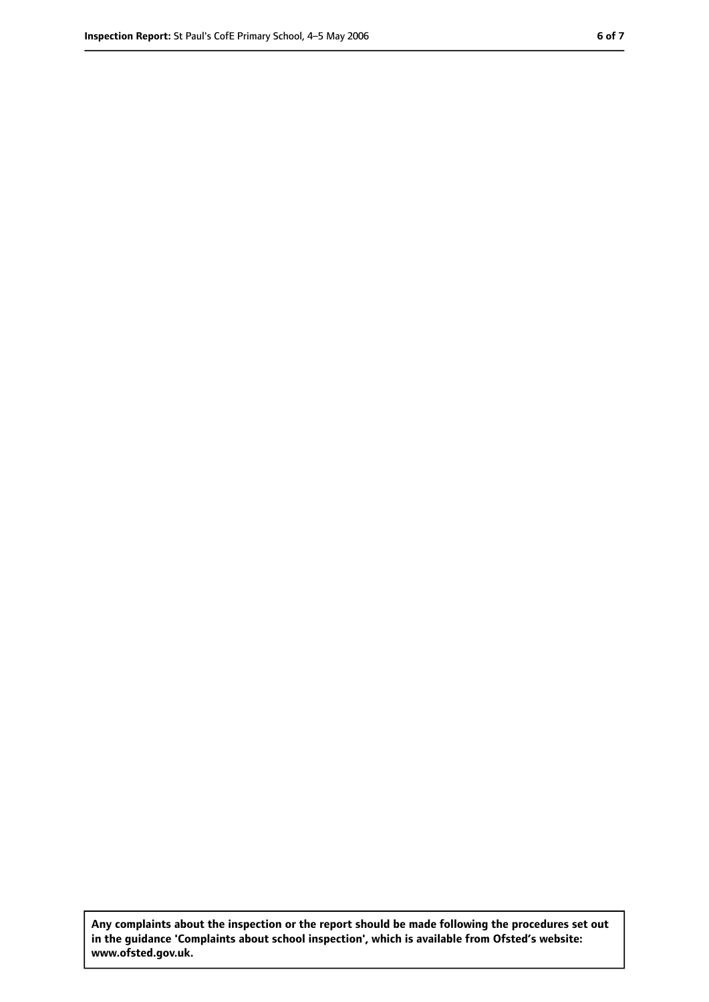**Any complaints about the inspection or the report should be made following the procedures set out in the guidance 'Complaints about school inspection', which is available from Ofsted's website: www.ofsted.gov.uk.**